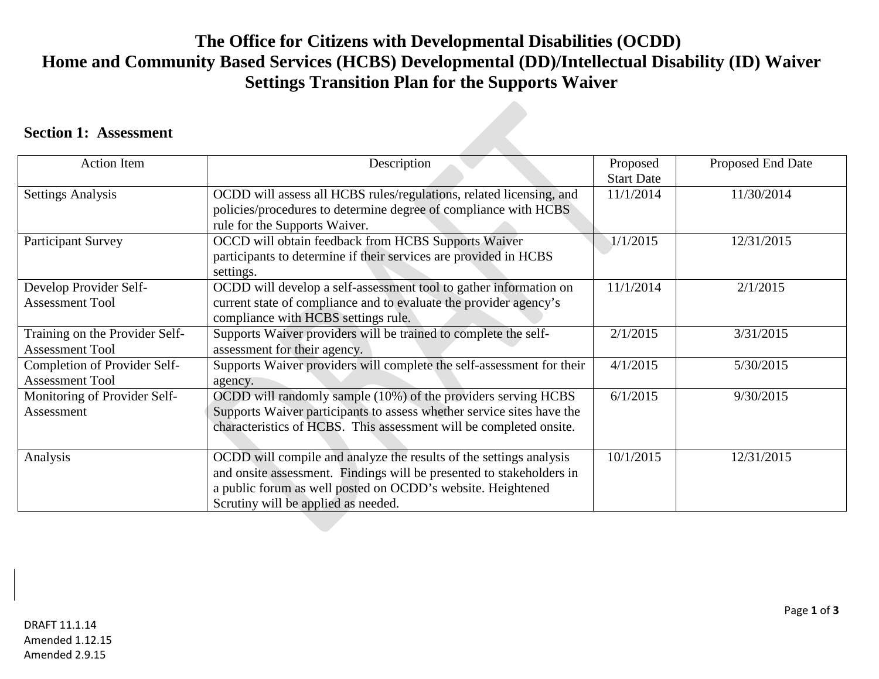## **The Office for Citizens with Developmental Disabilities (OCDD) Home and Community Based Services (HCBS) Developmental (DD)/Intellectual Disability (ID) Waiver Settings Transition Plan for the Supports Waiver**

## **Section 1: Assessment**

| <b>Action Item</b>                                       | Description                                                                                                                                                                                                                                      | Proposed<br><b>Start Date</b> | Proposed End Date |
|----------------------------------------------------------|--------------------------------------------------------------------------------------------------------------------------------------------------------------------------------------------------------------------------------------------------|-------------------------------|-------------------|
| <b>Settings Analysis</b>                                 | OCDD will assess all HCBS rules/regulations, related licensing, and<br>policies/procedures to determine degree of compliance with HCBS<br>rule for the Supports Waiver.                                                                          | 11/1/2014                     | 11/30/2014        |
| <b>Participant Survey</b>                                | OCCD will obtain feedback from HCBS Supports Waiver<br>participants to determine if their services are provided in HCBS<br>settings.                                                                                                             | 1/1/2015                      | 12/31/2015        |
| Develop Provider Self-<br><b>Assessment Tool</b>         | OCDD will develop a self-assessment tool to gather information on<br>current state of compliance and to evaluate the provider agency's<br>compliance with HCBS settings rule.                                                                    | 11/1/2014                     | 2/1/2015          |
| Training on the Provider Self-<br><b>Assessment Tool</b> | Supports Waiver providers will be trained to complete the self-<br>assessment for their agency.                                                                                                                                                  | 2/1/2015                      | 3/31/2015         |
| Completion of Provider Self-<br><b>Assessment Tool</b>   | Supports Waiver providers will complete the self-assessment for their<br>agency.                                                                                                                                                                 | 4/1/2015                      | 5/30/2015         |
| Monitoring of Provider Self-<br>Assessment               | OCDD will randomly sample (10%) of the providers serving HCBS<br>Supports Waiver participants to assess whether service sites have the<br>characteristics of HCBS. This assessment will be completed onsite.                                     | 6/1/2015                      | 9/30/2015         |
| Analysis                                                 | OCDD will compile and analyze the results of the settings analysis<br>and onsite assessment. Findings will be presented to stakeholders in<br>a public forum as well posted on OCDD's website. Heightened<br>Scrutiny will be applied as needed. | 10/1/2015                     | 12/31/2015        |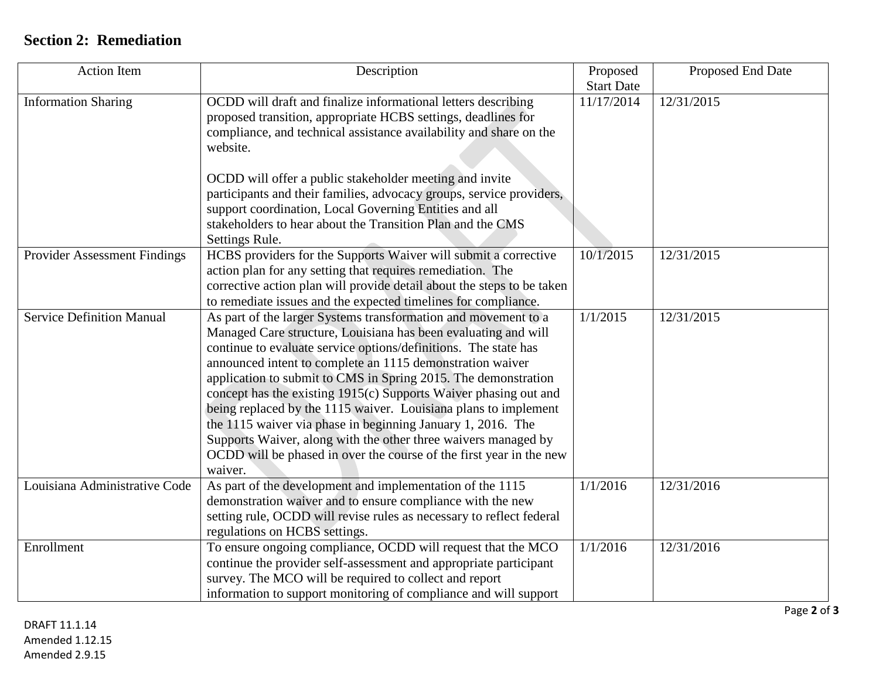## **Section 2: Remediation**

| <b>Action Item</b>                  | Description                                                            | Proposed          | Proposed End Date |
|-------------------------------------|------------------------------------------------------------------------|-------------------|-------------------|
|                                     |                                                                        | <b>Start Date</b> |                   |
| <b>Information Sharing</b>          | OCDD will draft and finalize informational letters describing          | 11/17/2014        | 12/31/2015        |
|                                     | proposed transition, appropriate HCBS settings, deadlines for          |                   |                   |
|                                     | compliance, and technical assistance availability and share on the     |                   |                   |
|                                     | website.                                                               |                   |                   |
|                                     | OCDD will offer a public stakeholder meeting and invite                |                   |                   |
|                                     | participants and their families, advocacy groups, service providers,   |                   |                   |
|                                     | support coordination, Local Governing Entities and all                 |                   |                   |
|                                     | stakeholders to hear about the Transition Plan and the CMS             |                   |                   |
|                                     | Settings Rule.                                                         |                   |                   |
| <b>Provider Assessment Findings</b> | HCBS providers for the Supports Waiver will submit a corrective        | 10/1/2015         | 12/31/2015        |
|                                     | action plan for any setting that requires remediation. The             |                   |                   |
|                                     | corrective action plan will provide detail about the steps to be taken |                   |                   |
|                                     | to remediate issues and the expected timelines for compliance.         |                   |                   |
| <b>Service Definition Manual</b>    | As part of the larger Systems transformation and movement to a         | 1/1/2015          | 12/31/2015        |
|                                     | Managed Care structure, Louisiana has been evaluating and will         |                   |                   |
|                                     | continue to evaluate service options/definitions. The state has        |                   |                   |
|                                     | announced intent to complete an 1115 demonstration waiver              |                   |                   |
|                                     | application to submit to CMS in Spring 2015. The demonstration         |                   |                   |
|                                     | concept has the existing 1915(c) Supports Waiver phasing out and       |                   |                   |
|                                     | being replaced by the 1115 waiver. Louisiana plans to implement        |                   |                   |
|                                     | the 1115 waiver via phase in beginning January 1, 2016. The            |                   |                   |
|                                     | Supports Waiver, along with the other three waivers managed by         |                   |                   |
|                                     | OCDD will be phased in over the course of the first year in the new    |                   |                   |
|                                     | waiver.                                                                |                   |                   |
| Louisiana Administrative Code       | As part of the development and implementation of the 1115              | 1/1/2016          | 12/31/2016        |
|                                     | demonstration waiver and to ensure compliance with the new             |                   |                   |
|                                     | setting rule, OCDD will revise rules as necessary to reflect federal   |                   |                   |
|                                     | regulations on HCBS settings.                                          |                   |                   |
| Enrollment                          | To ensure ongoing compliance, OCDD will request that the MCO           | 1/1/2016          | 12/31/2016        |
|                                     | continue the provider self-assessment and appropriate participant      |                   |                   |
|                                     | survey. The MCO will be required to collect and report                 |                   |                   |
|                                     | information to support monitoring of compliance and will support       |                   |                   |